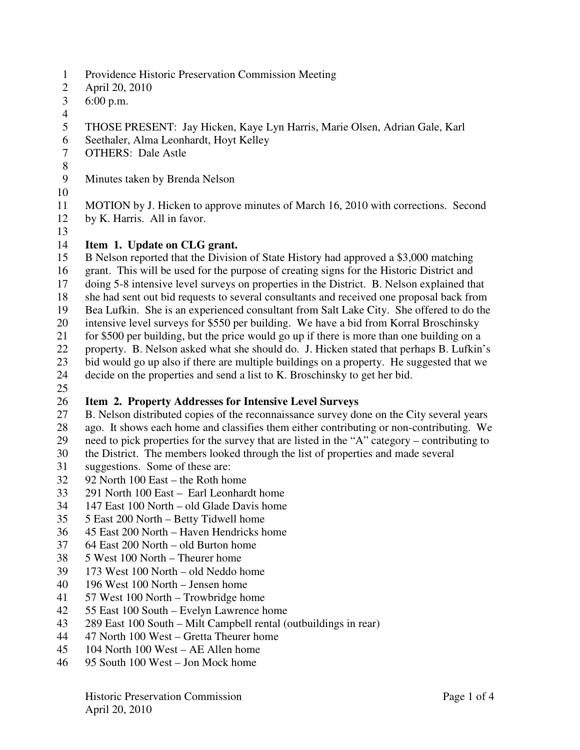- 1 Providence Historic Preservation Commission Meeting
- 2 April 20, 2010
- 3 6:00 p.m.
- 4
- 5 THOSE PRESENT: Jay Hicken, Kaye Lyn Harris, Marie Olsen, Adrian Gale, Karl
- 6 Seethaler, Alma Leonhardt, Hoyt Kelley
- 7 OTHERS: Dale Astle
- 8
- 9 Minutes taken by Brenda Nelson
- 10
- 11 MOTION by J. Hicken to approve minutes of March 16, 2010 with corrections. Second
- 12 by K. Harris. All in favor.
- 13

### 14 **Item 1. Update on CLG grant.**

15 B Nelson reported that the Division of State History had approved a \$3,000 matching

- 16 grant. This will be used for the purpose of creating signs for the Historic District and
- 17 doing 5-8 intensive level surveys on properties in the District. B. Nelson explained that
- 18 she had sent out bid requests to several consultants and received one proposal back from
- 19 Bea Lufkin. She is an experienced consultant from Salt Lake City. She offered to do the
- 20 intensive level surveys for \$550 per building. We have a bid from Korral Broschinsky
- 21 for \$500 per building, but the price would go up if there is more than one building on a
- 22 property. B. Nelson asked what she should do. J. Hicken stated that perhaps B. Lufkin's
- 23 bid would go up also if there are multiple buildings on a property. He suggested that we
- 24 decide on the properties and send a list to K. Broschinsky to get her bid.
- 25

# 26 **Item 2. Property Addresses for Intensive Level Surveys**

- 27 B. Nelson distributed copies of the reconnaissance survey done on the City several years
- 28 ago. It shows each home and classifies them either contributing or non-contributing. We
- 29 need to pick properties for the survey that are listed in the "A" category contributing to
- 30 the District. The members looked through the list of properties and made several
- 31 suggestions. Some of these are:<br>32 92 North 100 East the Roth ho
- 32 92 North 100 East the Roth home
- 33 291 North 100 East Earl Leonhardt home
- 34 147 East 100 North old Glade Davis home
- 35 5 East 200 North Betty Tidwell home
- 36 45 East 200 North Haven Hendricks home
- 37 64 East 200 North old Burton home
- 38 5 West 100 North Theurer home
- 39 173 West 100 North old Neddo home
- 40 196 West 100 North Jensen home
- 41 57 West 100 North Trowbridge home
- 42 55 East 100 South Evelyn Lawrence home
- 43 289 East 100 South Milt Campbell rental (outbuildings in rear)
- 44 47 North 100 West Gretta Theurer home
- 45 104 North 100 West AE Allen home
- 46 95 South 100 West Jon Mock home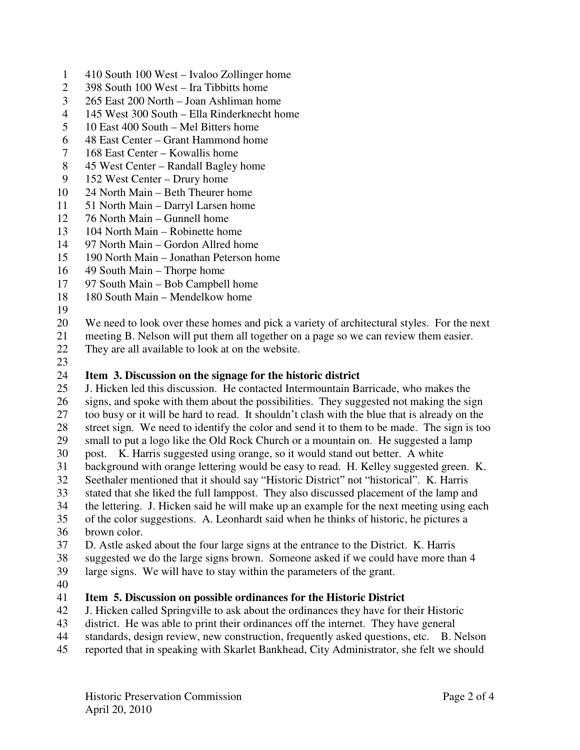- 1 410 South 100 West Ivaloo Zollinger home
- 2 398 South 100 West Ira Tibbitts home
- 3 265 East 200 North Joan Ashliman home
- 4 145 West 300 South Ella Rinderknecht home
- 5 10 East 400 South Mel Bitters home
- 6 48 East Center Grant Hammond home
- 7 168 East Center Kowallis home
- 8 45 West Center Randall Bagley home
- 9 152 West Center Drury home
- 10 24 North Main Beth Theurer home
- 11 51 North Main Darryl Larsen home
- 12 76 North Main Gunnell home
- 13 104 North Main Robinette home
- 14 97 North Main Gordon Allred home
- 15 190 North Main Jonathan Peterson home
- 16 49 South Main Thorpe home
- 17 97 South Main Bob Campbell home
- 18 180 South Main Mendelkow home
- 19
- 20 We need to look over these homes and pick a variety of architectural styles. For the next
- 21 meeting B. Nelson will put them all together on a page so we can review them easier.
- 22 They are all available to look at on the website.
- 23

## 24 **Item 3. Discussion on the signage for the historic district**

- 25 J. Hicken led this discussion. He contacted Intermountain Barricade, who makes the 26 signs, and spoke with them about the possibilities. They suggested not making the sign
- 27 too busy or it will be hard to read. It shouldn't clash with the blue that is already on the
- 28 street sign. We need to identify the color and send it to them to be made. The sign is too
- 29 small to put a logo like the Old Rock Church or a mountain on. He suggested a lamp
- 30 post. K. Harris suggested using orange, so it would stand out better. A white
- 31 background with orange lettering would be easy to read. H. Kelley suggested green. K.
- 32 Seethaler mentioned that it should say "Historic District" not "historical". K. Harris
- 33 stated that she liked the full lamppost. They also discussed placement of the lamp and
- 34 the lettering. J. Hicken said he will make up an example for the next meeting using each
- 35 of the color suggestions. A. Leonhardt said when he thinks of historic, he pictures a 36 brown color.
- 37 D. Astle asked about the four large signs at the entrance to the District. K. Harris
- 38 suggested we do the large signs brown. Someone asked if we could have more than 4
- 39 large signs. We will have to stay within the parameters of the grant.
- 40

### 41 **Item 5. Discussion on possible ordinances for the Historic District**

- 42 J. Hicken called Springville to ask about the ordinances they have for their Historic
- 43 district. He was able to print their ordinances off the internet. They have general
- 44 standards, design review, new construction, frequently asked questions, etc. B. Nelson
- 45 reported that in speaking with Skarlet Bankhead, City Administrator, she felt we should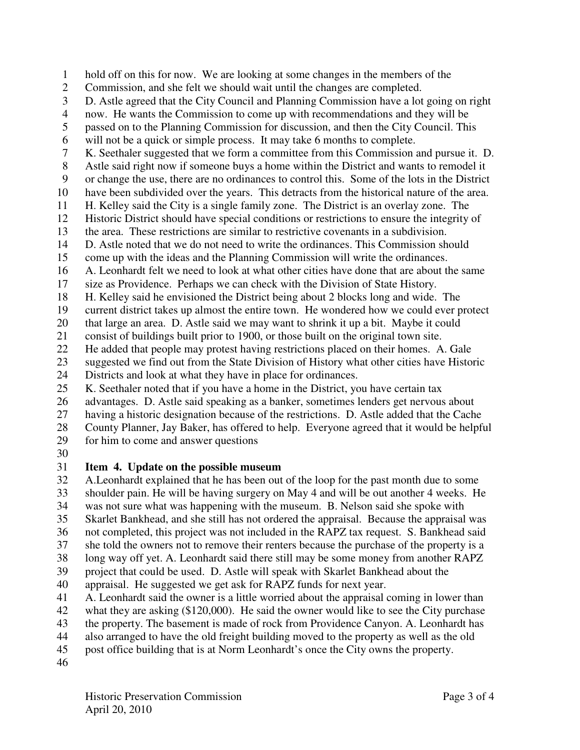1 hold off on this for now. We are looking at some changes in the members of the

- 2 Commission, and she felt we should wait until the changes are completed.
- 3 D. Astle agreed that the City Council and Planning Commission have a lot going on right

4 now. He wants the Commission to come up with recommendations and they will be

5 passed on to the Planning Commission for discussion, and then the City Council. This

6 will not be a quick or simple process. It may take 6 months to complete.

7 K. Seethaler suggested that we form a committee from this Commission and pursue it. D.

8 Astle said right now if someone buys a home within the District and wants to remodel it

9 or change the use, there are no ordinances to control this. Some of the lots in the District

- 10 have been subdivided over the years. This detracts from the historical nature of the area.
- 11 H. Kelley said the City is a single family zone. The District is an overlay zone. The
- 12 Historic District should have special conditions or restrictions to ensure the integrity of
- 13 the area. These restrictions are similar to restrictive covenants in a subdivision.
- 14 D. Astle noted that we do not need to write the ordinances. This Commission should
- 15 come up with the ideas and the Planning Commission will write the ordinances.

16 A. Leonhardt felt we need to look at what other cities have done that are about the same

- 17 size as Providence. Perhaps we can check with the Division of State History.
- 18 H. Kelley said he envisioned the District being about 2 blocks long and wide. The

19 current district takes up almost the entire town. He wondered how we could ever protect

20 that large an area. D. Astle said we may want to shrink it up a bit. Maybe it could

21 consist of buildings built prior to 1900, or those built on the original town site.

- 22 He added that people may protest having restrictions placed on their homes. A. Gale
- 23 suggested we find out from the State Division of History what other cities have Historic 24 Districts and look at what they have in place for ordinances.
- 25 K. Seethaler noted that if you have a home in the District, you have certain tax

26 advantages. D. Astle said speaking as a banker, sometimes lenders get nervous about

- 27 having a historic designation because of the restrictions. D. Astle added that the Cache
- 28 County Planner, Jay Baker, has offered to help. Everyone agreed that it would be helpful
- 29 for him to come and answer questions
- 30

# 31 **Item 4. Update on the possible museum**

32 A.Leonhardt explained that he has been out of the loop for the past month due to some 33 shoulder pain. He will be having surgery on May 4 and will be out another 4 weeks. He 34 was not sure what was happening with the museum. B. Nelson said she spoke with

35 Skarlet Bankhead, and she still has not ordered the appraisal. Because the appraisal was

- 36 not completed, this project was not included in the RAPZ tax request. S. Bankhead said
- 37 she told the owners not to remove their renters because the purchase of the property is a
- 38 long way off yet. A. Leonhardt said there still may be some money from another RAPZ
- 39 project that could be used. D. Astle will speak with Skarlet Bankhead about the
- 40 appraisal. He suggested we get ask for RAPZ funds for next year.
- 41 A. Leonhardt said the owner is a little worried about the appraisal coming in lower than
- 42 what they are asking (\$120,000). He said the owner would like to see the City purchase
- 43 the property. The basement is made of rock from Providence Canyon. A. Leonhardt has
- 44 also arranged to have the old freight building moved to the property as well as the old
- 45 post office building that is at Norm Leonhardt's once the City owns the property.
- 46